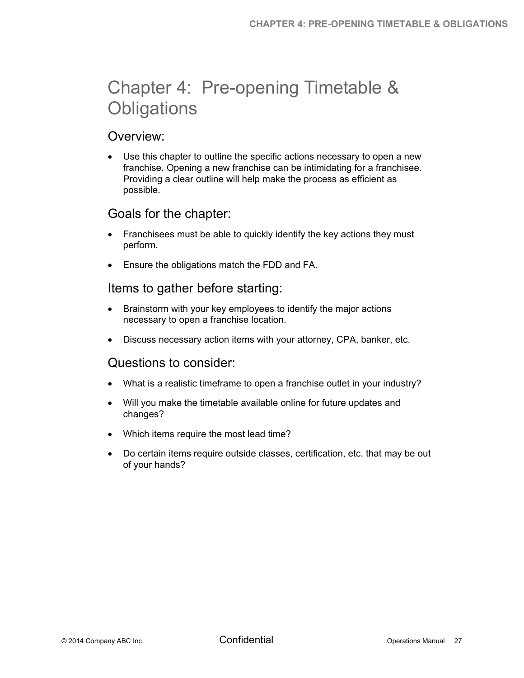# Chapter 4: Pre-opening Timetable & **Obligations**

#### Overview:

 Use this chapter to outline the specific actions necessary to open a new franchise. Opening a new franchise can be intimidating for a franchisee. Providing a clear outline will help make the process as efficient as possible.

### Goals for the chapter:

- Franchisees must be able to quickly identify the key actions they must perform.
- Ensure the obligations match the FDD and FA.

#### Items to gather before starting:

- Brainstorm with your key employees to identify the major actions necessary to open a franchise location.
- Discuss necessary action items with your attorney, CPA, banker, etc.

#### Questions to consider:

- What is a realistic timeframe to open a franchise outlet in your industry?
- Will you make the timetable available online for future updates and changes?
- Which items require the most lead time?
- Do certain items require outside classes, certification, etc. that may be out of your hands?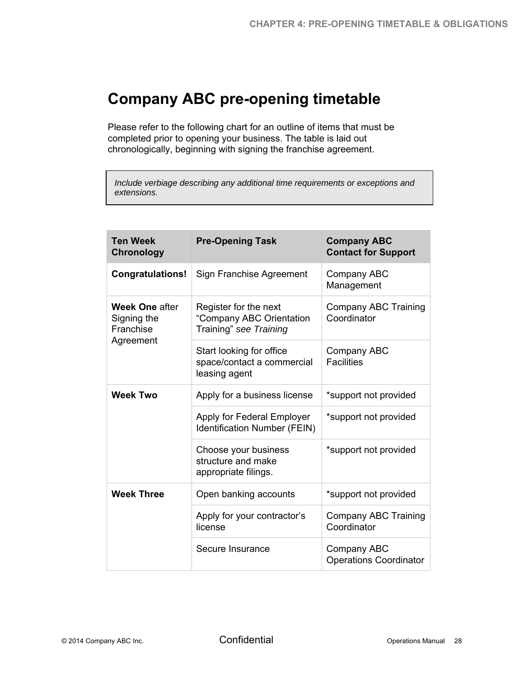# **Company ABC pre-opening timetable**

Please refer to the following chart for an outline of items that must be completed prior to opening your business. The table is laid out chronologically, beginning with signing the franchise agreement.

*Include verbiage describing any additional time requirements or exceptions and extensions.* 

| <b>Ten Week</b><br><b>Chronology</b>                           | <b>Pre-Opening Task</b>                                                     | <b>Company ABC</b><br><b>Contact for Support</b> |
|----------------------------------------------------------------|-----------------------------------------------------------------------------|--------------------------------------------------|
| <b>Congratulations!</b>                                        | Sign Franchise Agreement                                                    | Company ABC<br>Management                        |
| <b>Week One after</b><br>Signing the<br>Franchise<br>Agreement | Register for the next<br>"Company ABC Orientation<br>Training" see Training | <b>Company ABC Training</b><br>Coordinator       |
|                                                                | Start looking for office<br>space/contact a commercial<br>leasing agent     | Company ABC<br><b>Facilities</b>                 |
| <b>Week Two</b>                                                | Apply for a business license                                                | *support not provided                            |
|                                                                | Apply for Federal Employer<br><b>Identification Number (FEIN)</b>           | *support not provided                            |
|                                                                | Choose your business<br>structure and make<br>appropriate filings.          | *support not provided                            |
| <b>Week Three</b>                                              | Open banking accounts                                                       | *support not provided                            |
|                                                                | Apply for your contractor's<br>license                                      | Company ABC Training<br>Coordinator              |
|                                                                | Secure Insurance                                                            | Company ABC<br><b>Operations Coordinator</b>     |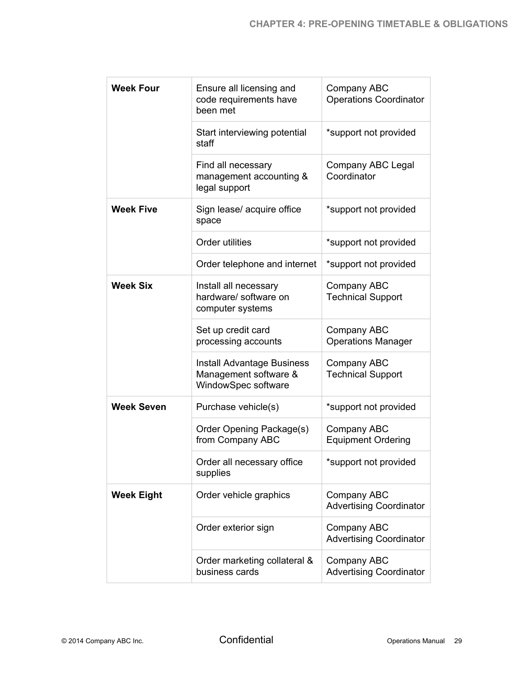| <b>Week Four</b>  | Ensure all licensing and<br>code requirements have<br>been met                    | Company ABC<br><b>Operations Coordinator</b>  |
|-------------------|-----------------------------------------------------------------------------------|-----------------------------------------------|
|                   | Start interviewing potential<br>staff                                             | *support not provided                         |
|                   | Find all necessary<br>management accounting &<br>legal support                    | Company ABC Legal<br>Coordinator              |
| <b>Week Five</b>  | Sign lease/ acquire office<br>space                                               | *support not provided                         |
|                   | Order utilities                                                                   | *support not provided                         |
|                   | Order telephone and internet                                                      | *support not provided                         |
| <b>Week Six</b>   | Install all necessary<br>hardware/ software on<br>computer systems                | Company ABC<br><b>Technical Support</b>       |
|                   | Set up credit card<br>processing accounts                                         | Company ABC<br><b>Operations Manager</b>      |
|                   | <b>Install Advantage Business</b><br>Management software &<br>WindowSpec software | Company ABC<br><b>Technical Support</b>       |
| <b>Week Seven</b> | Purchase vehicle(s)                                                               | *support not provided                         |
|                   | Order Opening Package(s)<br>from Company ABC                                      | Company ABC<br><b>Equipment Ordering</b>      |
|                   | Order all necessary office<br>supplies                                            | *support not provided                         |
| <b>Week Eight</b> | Order vehicle graphics                                                            | Company ABC<br><b>Advertising Coordinator</b> |
|                   | Order exterior sign                                                               | Company ABC<br><b>Advertising Coordinator</b> |
|                   | Order marketing collateral &<br>business cards                                    | Company ABC<br><b>Advertising Coordinator</b> |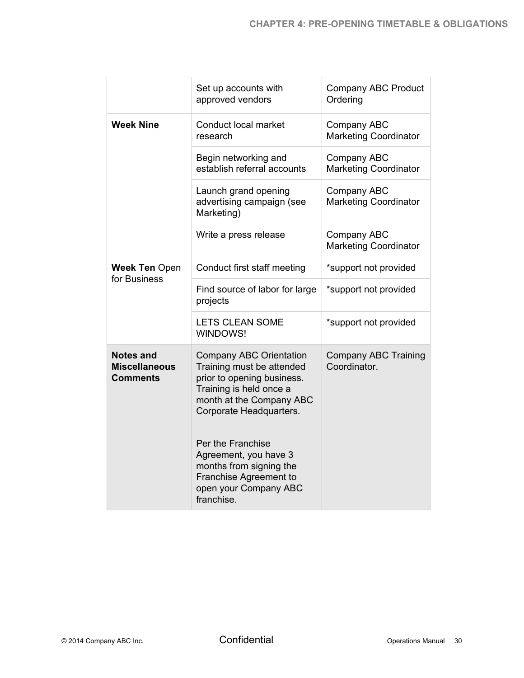|                                                      | Set up accounts with<br>approved vendors                                                                                                                                    | Company ABC Product<br>Ordering             |
|------------------------------------------------------|-----------------------------------------------------------------------------------------------------------------------------------------------------------------------------|---------------------------------------------|
| <b>Week Nine</b>                                     | Conduct local market<br>research                                                                                                                                            | Company ABC<br><b>Marketing Coordinator</b> |
|                                                      | Begin networking and<br>establish referral accounts                                                                                                                         | Company ABC<br><b>Marketing Coordinator</b> |
|                                                      | Launch grand opening<br>advertising campaign (see<br>Marketing)                                                                                                             | Company ABC<br><b>Marketing Coordinator</b> |
|                                                      | Write a press release                                                                                                                                                       | Company ABC<br><b>Marketing Coordinator</b> |
| <b>Week Ten Open</b><br>for Business                 | Conduct first staff meeting                                                                                                                                                 | *support not provided                       |
|                                                      | Find source of labor for large<br>projects                                                                                                                                  | *support not provided                       |
|                                                      | <b>LETS CLEAN SOME</b><br>WINDOWS!                                                                                                                                          | *support not provided                       |
| <b>Notes and</b><br><b>Miscellaneous</b><br>Comments | <b>Company ABC Orientation</b><br>Training must be attended<br>prior to opening business.<br>Training is held once a<br>month at the Company ABC<br>Corporate Headquarters. | <b>Company ABC Training</b><br>Coordinator. |
|                                                      | Per the Franchise<br>Agreement, you have 3<br>months from signing the<br>Franchise Agreement to<br>open your Company ABC<br>franchise.                                      |                                             |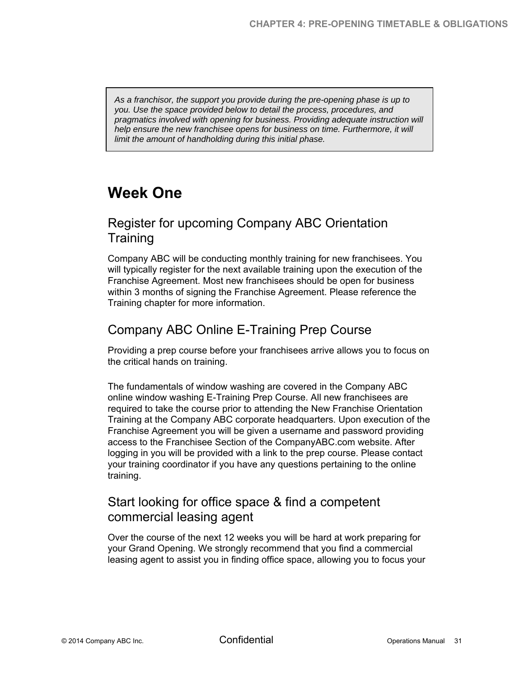*As a franchisor, the support you provide during the pre-opening phase is up to you. Use the space provided below to detail the process, procedures, and pragmatics involved with opening for business. Providing adequate instruction will help ensure the new franchisee opens for business on time. Furthermore, it will limit the amount of handholding during this initial phase.* 

# **Week One**

# Register for upcoming Company ABC Orientation **Training**

Company ABC will be conducting monthly training for new franchisees. You will typically register for the next available training upon the execution of the Franchise Agreement. Most new franchisees should be open for business within 3 months of signing the Franchise Agreement. Please reference the Training chapter for more information.

# Company ABC Online E-Training Prep Course

Providing a prep course before your franchisees arrive allows you to focus on the critical hands on training.

The fundamentals of window washing are covered in the Company ABC online window washing E-Training Prep Course. All new franchisees are required to take the course prior to attending the New Franchise Orientation Training at the Company ABC corporate headquarters. Upon execution of the Franchise Agreement you will be given a username and password providing access to the Franchisee Section of the CompanyABC.com website. After logging in you will be provided with a link to the prep course. Please contact your training coordinator if you have any questions pertaining to the online training.

### Start looking for office space & find a competent commercial leasing agent

Over the course of the next 12 weeks you will be hard at work preparing for your Grand Opening. We strongly recommend that you find a commercial leasing agent to assist you in finding office space, allowing you to focus your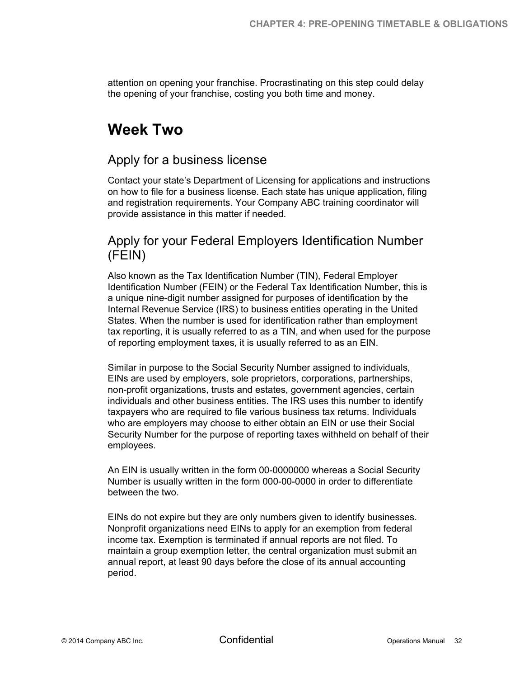attention on opening your franchise. Procrastinating on this step could delay the opening of your franchise, costing you both time and money.

# **Week Two**

### Apply for a business license

Contact your state's Department of Licensing for applications and instructions on how to file for a business license. Each state has unique application, filing and registration requirements. Your Company ABC training coordinator will provide assistance in this matter if needed.

# Apply for your Federal Employers Identification Number (FEIN)

Also known as the Tax Identification Number (TIN), Federal Employer Identification Number (FEIN) or the Federal Tax Identification Number, this is a unique nine-digit number assigned for purposes of identification by the Internal Revenue Service (IRS) to business entities operating in the United States. When the number is used for identification rather than employment tax reporting, it is usually referred to as a TIN, and when used for the purpose of reporting employment taxes, it is usually referred to as an EIN.

Similar in purpose to the Social Security Number assigned to individuals, EINs are used by employers, sole proprietors, corporations, partnerships, non-profit organizations, trusts and estates, government agencies, certain individuals and other business entities. The IRS uses this number to identify taxpayers who are required to file various business tax returns. Individuals who are employers may choose to either obtain an EIN or use their Social Security Number for the purpose of reporting taxes withheld on behalf of their employees.

An EIN is usually written in the form 00-0000000 whereas a Social Security Number is usually written in the form 000-00-0000 in order to differentiate between the two.

EINs do not expire but they are only numbers given to identify businesses. Nonprofit organizations need EINs to apply for an exemption from federal income tax. Exemption is terminated if annual reports are not filed. To maintain a group exemption letter, the central organization must submit an annual report, at least 90 days before the close of its annual accounting period.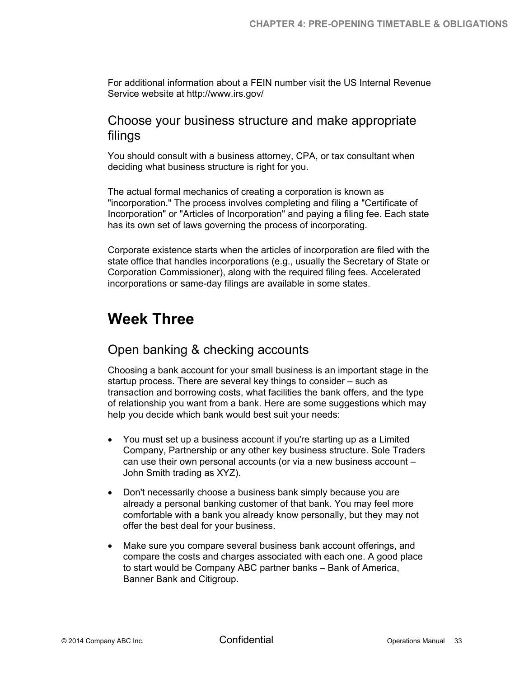For additional information about a FEIN number visit the US Internal Revenue Service website at http://www.irs.gov/

#### Choose your business structure and make appropriate filings

You should consult with a business attorney, CPA, or tax consultant when deciding what business structure is right for you.

The actual formal mechanics of creating a corporation is known as "incorporation." The process involves completing and filing a "Certificate of Incorporation" or "Articles of Incorporation" and paying a filing fee. Each state has its own set of laws governing the process of incorporating.

Corporate existence starts when the articles of incorporation are filed with the state office that handles incorporations (e.g., usually the Secretary of State or Corporation Commissioner), along with the required filing fees. Accelerated incorporations or same-day filings are available in some states.

# **Week Three**

# Open banking & checking accounts

Choosing a bank account for your small business is an important stage in the startup process. There are several key things to consider – such as transaction and borrowing costs, what facilities the bank offers, and the type of relationship you want from a bank. Here are some suggestions which may help you decide which bank would best suit your needs:

- You must set up a business account if you're starting up as a Limited Company, Partnership or any other key business structure. Sole Traders can use their own personal accounts (or via a new business account – John Smith trading as XYZ).
- Don't necessarily choose a business bank simply because you are already a personal banking customer of that bank. You may feel more comfortable with a bank you already know personally, but they may not offer the best deal for your business.
- Make sure you compare several business bank account offerings, and compare the costs and charges associated with each one. A good place to start would be Company ABC partner banks – Bank of America, Banner Bank and Citigroup.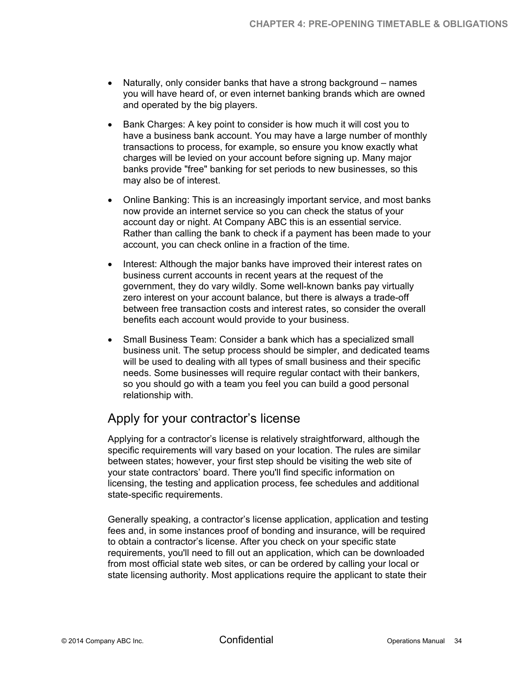- Naturally, only consider banks that have a strong background names you will have heard of, or even internet banking brands which are owned and operated by the big players.
- Bank Charges: A key point to consider is how much it will cost you to have a business bank account. You may have a large number of monthly transactions to process, for example, so ensure you know exactly what charges will be levied on your account before signing up. Many major banks provide "free" banking for set periods to new businesses, so this may also be of interest.
- Online Banking: This is an increasingly important service, and most banks now provide an internet service so you can check the status of your account day or night. At Company ABC this is an essential service. Rather than calling the bank to check if a payment has been made to your account, you can check online in a fraction of the time.
- Interest: Although the major banks have improved their interest rates on business current accounts in recent years at the request of the government, they do vary wildly. Some well-known banks pay virtually zero interest on your account balance, but there is always a trade-off between free transaction costs and interest rates, so consider the overall benefits each account would provide to your business.
- Small Business Team: Consider a bank which has a specialized small business unit. The setup process should be simpler, and dedicated teams will be used to dealing with all types of small business and their specific needs. Some businesses will require regular contact with their bankers, so you should go with a team you feel you can build a good personal relationship with.

# Apply for your contractor's license

Applying for a contractor's license is relatively straightforward, although the specific requirements will vary based on your location. The rules are similar between states; however, your first step should be visiting the web site of your state contractors' board. There you'll find specific information on licensing, the testing and application process, fee schedules and additional state-specific requirements.

Generally speaking, a contractor's license application, application and testing fees and, in some instances proof of bonding and insurance, will be required to obtain a contractor's license. After you check on your specific state requirements, you'll need to fill out an application, which can be downloaded from most official state web sites, or can be ordered by calling your local or state licensing authority. Most applications require the applicant to state their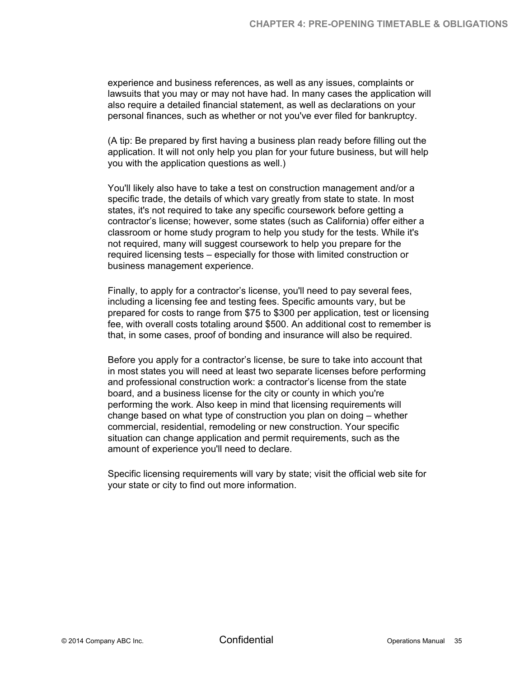experience and business references, as well as any issues, complaints or lawsuits that you may or may not have had. In many cases the application will also require a detailed financial statement, as well as declarations on your personal finances, such as whether or not you've ever filed for bankruptcy.

(A tip: Be prepared by first having a business plan ready before filling out the application. It will not only help you plan for your future business, but will help you with the application questions as well.)

You'll likely also have to take a test on construction management and/or a specific trade, the details of which vary greatly from state to state. In most states, it's not required to take any specific coursework before getting a contractor's license; however, some states (such as California) offer either a classroom or home study program to help you study for the tests. While it's not required, many will suggest coursework to help you prepare for the required licensing tests – especially for those with limited construction or business management experience.

Finally, to apply for a contractor's license, you'll need to pay several fees, including a licensing fee and testing fees. Specific amounts vary, but be prepared for costs to range from \$75 to \$300 per application, test or licensing fee, with overall costs totaling around \$500. An additional cost to remember is that, in some cases, proof of bonding and insurance will also be required.

Before you apply for a contractor's license, be sure to take into account that in most states you will need at least two separate licenses before performing and professional construction work: a contractor's license from the state board, and a business license for the city or county in which you're performing the work. Also keep in mind that licensing requirements will change based on what type of construction you plan on doing – whether commercial, residential, remodeling or new construction. Your specific situation can change application and permit requirements, such as the amount of experience you'll need to declare.

Specific licensing requirements will vary by state; visit the official web site for your state or city to find out more information.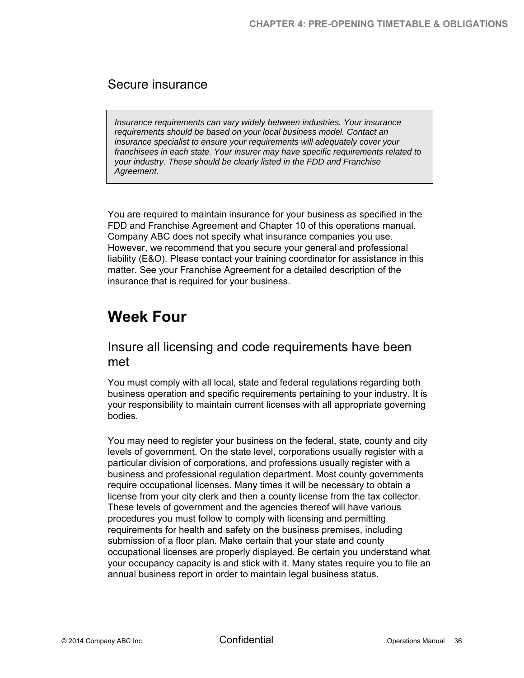### Secure insurance

*Insurance requirements can vary widely between industries. Your insurance requirements should be based on your local business model. Contact an insurance specialist to ensure your requirements will adequately cover your franchisees in each state. Your insurer may have specific requirements related to your industry. These should be clearly listed in the FDD and Franchise Agreement.* 

You are required to maintain insurance for your business as specified in the FDD and Franchise Agreement and Chapter 10 of this operations manual. Company ABC does not specify what insurance companies you use. However, we recommend that you secure your general and professional liability (E&O). Please contact your training coordinator for assistance in this matter. See your Franchise Agreement for a detailed description of the insurance that is required for your business.

# **Week Four**

### Insure all licensing and code requirements have been met

You must comply with all local, state and federal regulations regarding both business operation and specific requirements pertaining to your industry. It is your responsibility to maintain current licenses with all appropriate governing bodies.

You may need to register your business on the federal, state, county and city levels of government. On the state level, corporations usually register with a particular division of corporations, and professions usually register with a business and professional regulation department. Most county governments require occupational licenses. Many times it will be necessary to obtain a license from your city clerk and then a county license from the tax collector. These levels of government and the agencies thereof will have various procedures you must follow to comply with licensing and permitting requirements for health and safety on the business premises, including submission of a floor plan. Make certain that your state and county occupational licenses are properly displayed. Be certain you understand what your occupancy capacity is and stick with it. Many states require you to file an annual business report in order to maintain legal business status.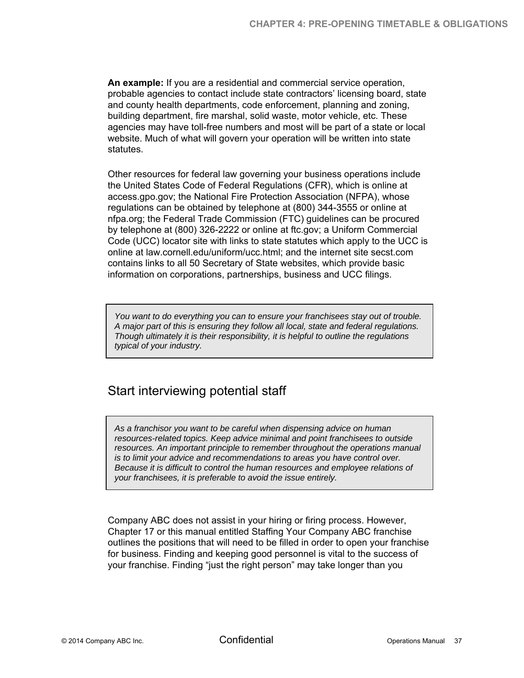**An example:** If you are a residential and commercial service operation, probable agencies to contact include state contractors' licensing board, state and county health departments, code enforcement, planning and zoning, building department, fire marshal, solid waste, motor vehicle, etc. These agencies may have toll-free numbers and most will be part of a state or local website. Much of what will govern your operation will be written into state statutes.

Other resources for federal law governing your business operations include the United States Code of Federal Regulations (CFR), which is online at access.gpo.gov; the National Fire Protection Association (NFPA), whose regulations can be obtained by telephone at (800) 344-3555 or online at nfpa.org; the Federal Trade Commission (FTC) guidelines can be procured by telephone at (800) 326-2222 or online at ftc.gov; a Uniform Commercial Code (UCC) locator site with links to state statutes which apply to the UCC is online at law.cornell.edu/uniform/ucc.html; and the internet site secst.com contains links to all 50 Secretary of State websites, which provide basic information on corporations, partnerships, business and UCC filings.

*You want to do everything you can to ensure your franchisees stay out of trouble. A major part of this is ensuring they follow all local, state and federal regulations. Though ultimately it is their responsibility, it is helpful to outline the regulations typical of your industry.* 

# Start interviewing potential staff

*As a franchisor you want to be careful when dispensing advice on human resources-related topics. Keep advice minimal and point franchisees to outside resources. An important principle to remember throughout the operations manual is to limit your advice and recommendations to areas you have control over. Because it is difficult to control the human resources and employee relations of your franchisees, it is preferable to avoid the issue entirely.* 

Company ABC does not assist in your hiring or firing process. However, Chapter 17 or this manual entitled Staffing Your Company ABC franchise outlines the positions that will need to be filled in order to open your franchise for business. Finding and keeping good personnel is vital to the success of your franchise. Finding "just the right person" may take longer than you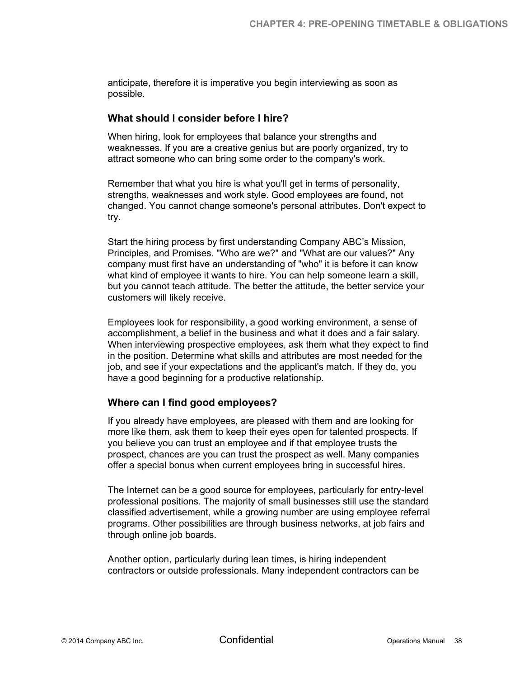anticipate, therefore it is imperative you begin interviewing as soon as possible.

#### **What should I consider before I hire?**

When hiring, look for employees that balance your strengths and weaknesses. If you are a creative genius but are poorly organized, try to attract someone who can bring some order to the company's work.

Remember that what you hire is what you'll get in terms of personality, strengths, weaknesses and work style. Good employees are found, not changed. You cannot change someone's personal attributes. Don't expect to try.

Start the hiring process by first understanding Company ABC's Mission, Principles, and Promises. "Who are we?" and "What are our values?" Any company must first have an understanding of "who" it is before it can know what kind of employee it wants to hire. You can help someone learn a skill, but you cannot teach attitude. The better the attitude, the better service your customers will likely receive.

Employees look for responsibility, a good working environment, a sense of accomplishment, a belief in the business and what it does and a fair salary. When interviewing prospective employees, ask them what they expect to find in the position. Determine what skills and attributes are most needed for the job, and see if your expectations and the applicant's match. If they do, you have a good beginning for a productive relationship.

#### **Where can I find good employees?**

If you already have employees, are pleased with them and are looking for more like them, ask them to keep their eyes open for talented prospects. If you believe you can trust an employee and if that employee trusts the prospect, chances are you can trust the prospect as well. Many companies offer a special bonus when current employees bring in successful hires.

The Internet can be a good source for employees, particularly for entry-level professional positions. The majority of small businesses still use the standard classified advertisement, while a growing number are using employee referral programs. Other possibilities are through business networks, at job fairs and through online job boards.

Another option, particularly during lean times, is hiring independent contractors or outside professionals. Many independent contractors can be